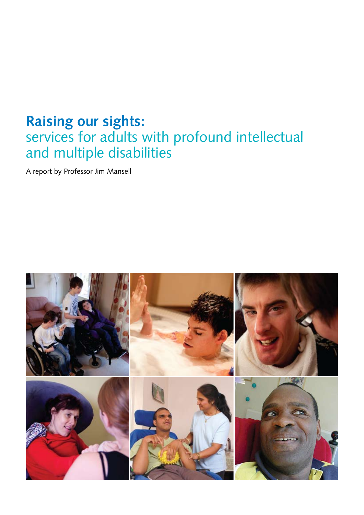## **Raising our sights:**  services for adults with profound intellectual and multiple disabilities

A report by Professor Jim Mansell

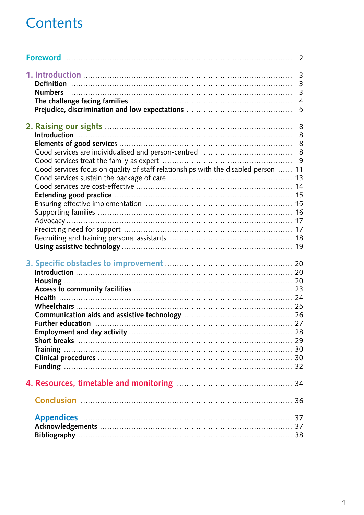# Contents

|                                                                                    | $\overline{2}$                                               |
|------------------------------------------------------------------------------------|--------------------------------------------------------------|
|                                                                                    | $\overline{3}$<br>$\overline{3}$<br>3<br>$\overline{4}$<br>5 |
| Good services focus on quality of staff relationships with the disabled person  11 | 8                                                            |
|                                                                                    |                                                              |
| Conclusion 26                                                                      |                                                              |
|                                                                                    |                                                              |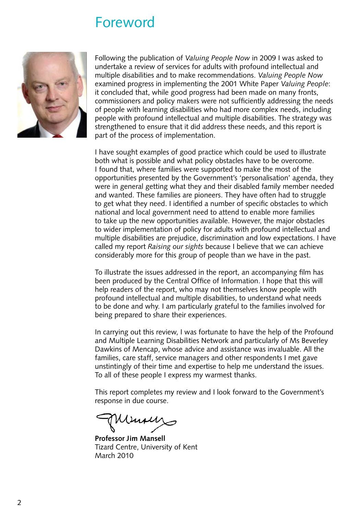## Foreword

<span id="page-2-0"></span>

Following the publication of *Valuing People Now* in 2009 I was asked to undertake a review of services for adults with profound intellectual and multiple disabilities and to make recommendations. *Valuing People Now* examined progress in implementing the 2001 White Paper *Valuing People*: it concluded that, while good progress had been made on many fronts, commissioners and policy makers were not sufficiently addressing the needs of people with learning disabilities who had more complex needs, including people with profound intellectual and multiple disabilities. The strategy was strengthened to ensure that it did address these needs, and this report is part of the process of implementation.

I have sought examples of good practice which could be used to illustrate both what is possible and what policy obstacles have to be overcome. I found that, where families were supported to make the most of the opportunities presented by the Government's 'personalisation' agenda, they were in general getting what they and their disabled family member needed and wanted. These families are pioneers. They have often had to struggle to get what they need. I identified a number of specific obstacles to which national and local government need to attend to enable more families to take up the new opportunities available. However, the major obstacles to wider implementation of policy for adults with profound intellectual and multiple disabilities are prejudice, discrimination and low expectations. I have called my report *Raising our sights* because I believe that we can achieve considerably more for this group of people than we have in the past.

To illustrate the issues addressed in the report, an accompanying film has been produced by the Central Office of Information. I hope that this will help readers of the report, who may not themselves know people with profound intellectual and multiple disabilities, to understand what needs to be done and why. I am particularly grateful to the families involved for being prepared to share their experiences.

In carrying out this review, I was fortunate to have the help of the Profound and Multiple Learning Disabilities Network and particularly of Ms Beverley Dawkins of Mencap, whose advice and assistance was invaluable. All the families, care staff, service managers and other respondents I met gave unstintingly of their time and expertise to help me understand the issues. To all of these people I express my warmest thanks.

This report completes my review and I look forward to the Government's response in due course.

**Professor Jim Mansell** Tizard Centre, University of Kent March 2010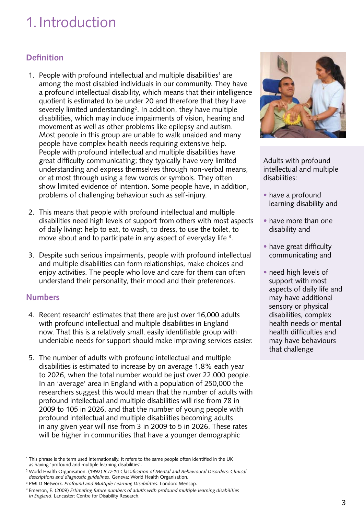# <span id="page-3-0"></span>1.Introduction

## **Definition**

- 1. People with profound intellectual and multiple disabilities<sup>1</sup> are among the most disabled individuals in our community. They have a profound intellectual disability, which means that their intelligence quotient is estimated to be under 20 and therefore that they have severely limited understanding<sup>2</sup>. In addition, they have multiple disabilities, which may include impairments of vision, hearing and movement as well as other problems like epilepsy and autism. Most people in this group are unable to walk unaided and many people have complex health needs requiring extensive help. People with profound intellectual and multiple disabilities have great difficulty communicating; they typically have very limited understanding and express themselves through non-verbal means, or at most through using a few words or symbols. They often show limited evidence of intention. Some people have, in addition, problems of challenging behaviour such as self-injury.
- 2. This means that people with profound intellectual and multiple disabilities need high levels of support from others with most aspects of daily living: help to eat, to wash, to dress, to use the toilet, to move about and to participate in any aspect of everyday life <sup>3</sup>.
- 3. Despite such serious impairments, people with profound intellectual and multiple disabilities can form relationships, make choices and enjoy activities. The people who love and care for them can often understand their personality, their mood and their preferences.

## **Numbers**

- 4. Recent research<sup>4</sup> estimates that there are just over 16,000 adults with profound intellectual and multiple disabilities in England now. That this is a relatively small, easily identifiable group with undeniable needs for support should make improving services easier.
- 5. The number of adults with profound intellectual and multiple disabilities is estimated to increase by on average 1.8% each year to 2026, when the total number would be just over 22,000 people. In an 'average' area in England with a population of 250,000 the researchers suggest this would mean that the number of adults with profound intellectual and multiple disabilities will rise from 78 in 2009 to 105 in 2026, and that the number of young people with profound intellectual and multiple disabilities becoming adults in any given year will rise from 3 in 2009 to 5 in 2026. These rates will be higher in communities that have a younger demographic



Adults with profound intellectual and multiple disabilities:

- have a profound learning disability and
- have more than one disability and
- have great difficulty communicating and
- need high levels of support with most aspects of daily life and may have additional sensory or physical disabilities, complex health needs or mental health difficulties and may have behaviours that challenge

<sup>1</sup> This phrase is the term used internationally. It refers to the same people often identified in the UK as having 'profound and multiple learning disabilities'.

<sup>2</sup> World Health Organisation. (1992) *ICD-10 Classification of Mental and Behavioural Disorders: Clinical descriptions and diagnostic guidelines*. Geneva: World Health Organisation.

<sup>3</sup> PMLD Network. *Profound and Multiple Learning Disabilities*. London: Mencap.

<sup>4</sup> Emerson, E. (2009) *Estimating future numbers of adults with profound multiple learning disabilities in England*. Lancaster: Centre for Disability Research.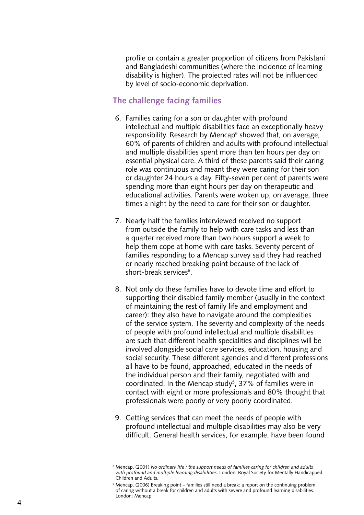<span id="page-4-0"></span> profile or contain a greater proportion of citizens from Pakistani and Bangladeshi communities (where the incidence of learning disability is higher). The projected rates will not be influenced by level of socio-economic deprivation.

### **The challenge facing families**

- 6. Families caring for a son or daughter with profound intellectual and multiple disabilities face an exceptionally heavy responsibility. Research by Mencap 5 showed that, on average, 60% of parents of children and adults with profound intellectual and multiple disabilities spent more than ten hours per day on essential physical care. A third of these parents said their caring role was continuous and meant they were caring for their son or daughter 24 hours a day. Fifty-seven per cent of parents were spending more than eight hours per day on therapeutic and educational activities. Parents were woken up, on average, three times a night by the need to care for their son or daughter.
- 7. Nearly half the families interviewed received no support from outside the family to help with care tasks and less than a quarter received more than two hours support a week to help them cope at home with care tasks. Seventy percent of families responding to a Mencap survey said they had reached or nearly reached breaking point because of the lack of short-break services 6 .
- 8. Not only do these families have to devote time and effort to supporting their disabled family member (usually in the context of maintaining the rest of family life and employment and career): they also have to navigate around the complexities of the service system. The severity and complexity of the needs of people with profound intellectual and multiple disabilities are such that different health specialities and disciplines will be involved alongside social care services, education, housing and social security. These different agencies and different professions all have to be found, approached, educated in the needs of the individual person and their family, negotiated with and coordinated. In the Mencap study 5 , 37% of families were in contact with eight or more professionals and 80% thought that professionals were poorly or very poorly coordinated.
- 9. Getting services that can meet the needs of people with profound intellectual and multiple disabilities may also be very difficult. General health services, for example, have been found

<sup>5</sup> Mencap. (2001) *No ordinary life : the support needs of families caring for children and adults with profound and multiple learning disabilities*. London: Royal Society for Mentally Handicapped Children and Adults.

 $6$  Mencap. (2006) Breaking point – families still need a break: a report on the continuing problem of caring without a break for children and adults with severe and profound learning disabilities. London: Mencap.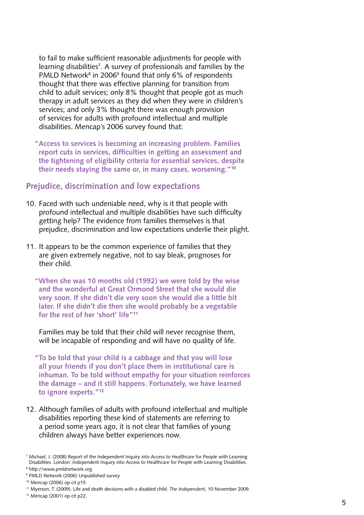<span id="page-5-0"></span> to fail to make sufficient reasonable adjustments for people with learning disabilities<sup>7</sup>. A survey of professionals and families by the PMLD Network<sup>8</sup> in 2006<sup>9</sup> found that only 6% of respondents thought that there was effective planning for transition from child to adult services; only 8% thought that people got as much therapy in adult services as they did when they were in children's services; and only 3% thought there was enough provision of services for adults with profound intellectual and multiple disabilities. Mencap's 2006 survey found that:

 **"Access to services is becoming an increasing problem. Families report cuts in services, difficulties in getting an assessment and the tightening of eligibility criteria for essential services, despite their needs staying the same or, in many cases, worsening."**<sup>10</sup>

#### **Prejudice, discrimination and low expectations**

- 10. Faced with such undeniable need, why is it that people with profound intellectual and multiple disabilities have such difficulty getting help? The evidence from families themselves is that prejudice, discrimination and low expectations underlie their plight.
- 11. It appears to be the common experience of families that they are given extremely negative, not to say bleak, prognoses for their child.
	- **"When she was 10 months old (1992) we were told by the wise and the wonderful at Great Ormond Street that she would die very soon. If she didn't die very soon she would die a little bit later. If she didn't die then she would probably be a vegetable for the rest of her 'short' life"**<sup>11</sup>

 Families may be told that their child will never recognise them, will be incapable of responding and will have no quality of life.

**"To be told that your child is a cabbage and that you will lose all your friends if you don't place them in institutional care is inhuman. To be told without empathy for your situation reinforces the damage – and it still happens. Fortunately, we have learned to ignore experts."**<sup>12</sup>

12. Although families of adults with profound intellectual and multiple disabilities reporting these kind of statements are referring to a period some years ago, it is not clear that families of young children always have better experiences now.

<sup>7</sup> Michael, J. (2008) Report of the Independent Inquiry into Access to Healthcare for People with Learning Disabilities. London: Independent Inquiry into Access to Healthcare for People with Learning Disabilities.

<sup>8</sup> http://www.pmldnetwork.org

<sup>9</sup> PMLD Network (2006) Unpublished survey

 $10$  Mencap (2006) op cit p15

<sup>11</sup> Myerson, T. (2009). Life and death decisions with a disabled child. *The Independent*, 10 November 2009.

<sup>12</sup> Mencap (2001) op cit p22.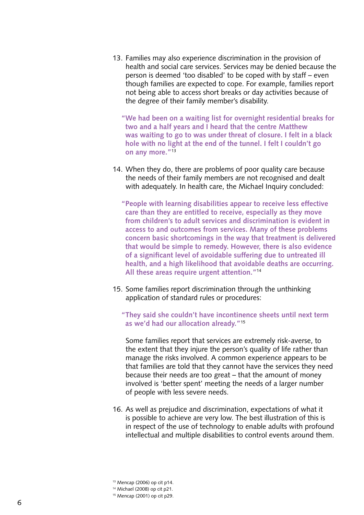- 13. Families may also experience discrimination in the provision of health and social care services. Services may be denied because the person is deemed 'too disabled' to be coped with by staff – even though families are expected to cope. For example, families report not being able to access short breaks or day activities because of the degree of their family member's disability.
	- **"We had been on a waiting list for overnight residential breaks for two and a half years and I heard that the centre Matthew was waiting to go to was under threat of closure. I felt in a black hole with no light at the end of the tunnel. I felt I couldn't go on any more."**<sup>13</sup>
- 14. When they do, there are problems of poor quality care because the needs of their family members are not recognised and dealt with adequately. In health care, the Michael Inquiry concluded:

**"People with learning disabilities appear to receive less effective care than they are entitled to receive, especially as they move from children's to adult services and discrimination is evident in access to and outcomes from services. Many of these problems concern basic shortcomings in the way that treatment is delivered that would be simple to remedy. However, there is also evidence of a significant level of avoidable suffering due to untreated ill health, and a high likelihood that avoidable deaths are occurring. All these areas require urgent attention."**<sup>14</sup>

15. Some families report discrimination through the unthinking application of standard rules or procedures:

**"They said she couldn't have incontinence sheets until next term as we'd had our allocation already."**<sup>15</sup>

 Some families report that services are extremely risk-averse, to the extent that they injure the person's quality of life rather than manage the risks involved. A common experience appears to be that families are told that they cannot have the services they need because their needs are too great – that the amount of money involved is 'better spent' meeting the needs of a larger number of people with less severe needs.

16. As well as prejudice and discrimination, expectations of what it is possible to achieve are very low. The best illustration of this is in respect of the use of technology to enable adults with profound intellectual and multiple disabilities to control events around them.

<sup>13</sup> Mencap (2006) op cit p14.

<sup>14</sup> Michael (2008) op cit p21.

<sup>15</sup> Mencap (2001) op cit p29.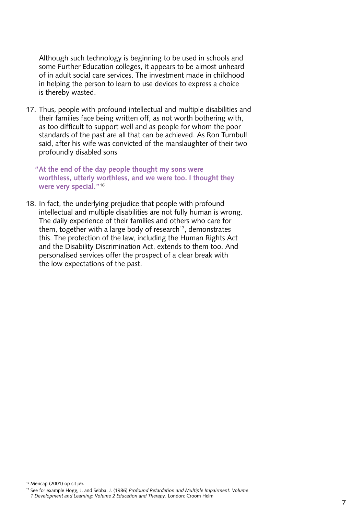Although such technology is beginning to be used in schools and some Further Education colleges, it appears to be almost unheard of in adult social care services. The investment made in childhood in helping the person to learn to use devices to express a choice is thereby wasted.

17. Thus, people with profound intellectual and multiple disabilities and their families face being written off, as not worth bothering with, as too difficult to support well and as people for whom the poor standards of the past are all that can be achieved. As Ron Turnbull said, after his wife was convicted of the manslaughter of their two profoundly disabled sons

**"At the end of the day people thought my sons were worthless, utterly worthless, and we were too. I thought they were very special."**<sup>16</sup>

18. In fact, the underlying prejudice that people with profound intellectual and multiple disabilities are not fully human is wrong. The daily experience of their families and others who care for them, together with a large body of research $17$ , demonstrates this. The protection of the law, including the Human Rights Act and the Disability Discrimination Act, extends to them too. And personalised services offer the prospect of a clear break with the low expectations of the past.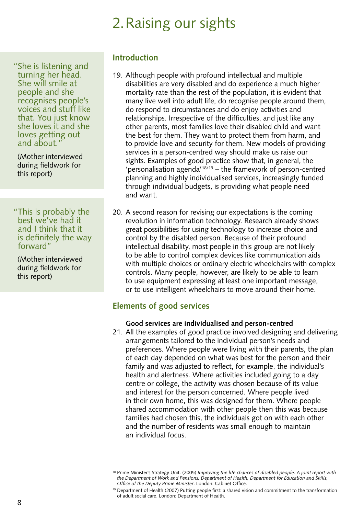# 2.Raising our sights

<span id="page-8-0"></span>"She is listening and turning her head. She will smile at people and she recognises people's voices and stuff like that. You just know she loves it and she loves getting out and about.

(Mother interviewed during fieldwork for this report)

"This is probably the best we've had it and I think that it is definitely the way forward"

(Mother interviewed during fieldwork for this report)

#### **Introduction**

- 19. Although people with profound intellectual and multiple disabilities are very disabled and do experience a much higher mortality rate than the rest of the population, it is evident that many live well into adult life, do recognise people around them, do respond to circumstances and do enjoy activities and relationships. Irrespective of the difficulties, and just like any other parents, most families love their disabled child and want the best for them. They want to protect them from harm, and to provide love and security for them. New models of providing services in a person-centred way should make us raise our sights. Examples of good practice show that, in general, the 'personalisation agenda'18/19 – the framework of person-centred planning and highly individualised services, increasingly funded through individual budgets, is providing what people need and want.
- 20. A second reason for revising our expectations is the coming revolution in information technology. Research already shows great possibilities for using technology to increase choice and control by the disabled person. Because of their profound intellectual disability, most people in this group are not likely to be able to control complex devices like communication aids with multiple choices or ordinary electric wheelchairs with complex controls. Many people, however, are likely to be able to learn to use equipment expressing at least one important message, or to use intelligent wheelchairs to move around their home.

## **Elements of good services**

#### **Good services are individualised and person-centred**

21. All the examples of good practice involved designing and delivering arrangements tailored to the individual person's needs and preferences. Where people were living with their parents, the plan of each day depended on what was best for the person and their family and was adjusted to reflect, for example, the individual's health and alertness. Where activities included going to a day centre or college, the activity was chosen because of its value and interest for the person concerned. Where people lived in their own home, this was designed for them. Where people shared accommodation with other people then this was because families had chosen this, the individuals got on with each other and the number of residents was small enough to maintain an individual focus.

<sup>18</sup> Prime Minister's Strategy Unit. (2005) *Improving the life chances of disabled people. A joint report with the Department of Work and Pensions, Department of Health, Department for Education and Skills, Office of the Deputy Prime Minister*. London: Cabinet Office.

<sup>19</sup> Department of Health (2007) Putting people first: a shared vision and commitment to the transformation of adult social care. London: Department of Health.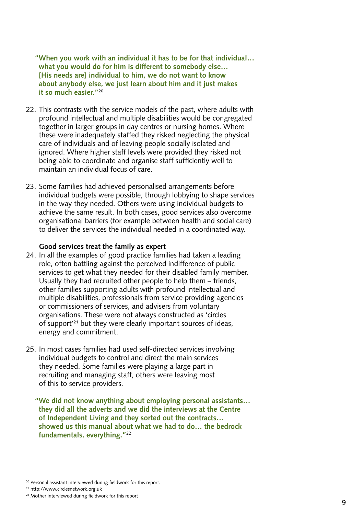<span id="page-9-0"></span>**"When you work with an individual it has to be for that individual… what you would do for him is different to somebody else… [His needs are] individual to him, we do not want to know about anybody else, we just learn about him and it just makes it so much easier."**<sup>20</sup>

- 22. This contrasts with the service models of the past, where adults with profound intellectual and multiple disabilities would be congregated together in larger groups in day centres or nursing homes. Where these were inadequately staffed they risked neglecting the physical care of individuals and of leaving people socially isolated and ignored. Where higher staff levels were provided they risked not being able to coordinate and organise staff sufficiently well to maintain an individual focus of care.
- 23. Some families had achieved personalised arrangements before individual budgets were possible, through lobbying to shape services in the way they needed. Others were using individual budgets to achieve the same result. In both cases, good services also overcome organisational barriers (for example between health and social care) to deliver the services the individual needed in a coordinated way.

#### **Good services treat the family as expert**

- 24. In all the examples of good practice families had taken a leading role, often battling against the perceived indifference of public services to get what they needed for their disabled family member. Usually they had recruited other people to help them – friends, other families supporting adults with profound intellectual and multiple disabilities, professionals from service providing agencies or commissioners of services, and advisers from voluntary organisations. These were not always constructed as 'circles of support'21 but they were clearly important sources of ideas, energy and commitment.
- 25. In most cases families had used self-directed services involving individual budgets to control and direct the main services they needed. Some families were playing a large part in recruiting and managing staff, others were leaving most of this to service providers.

**"We did not know anything about employing personal assistants… they did all the adverts and we did the interviews at the Centre of Independent Living and they sorted out the contracts… showed us this manual about what we had to do… the bedrock fundamentals, everything."**<sup>22</sup>

21 http://www.circlesnetwork.org.uk

<sup>&</sup>lt;sup>20</sup> Personal assistant interviewed during fieldwork for this report.

<sup>22</sup> Mother interviewed during fieldwork for this report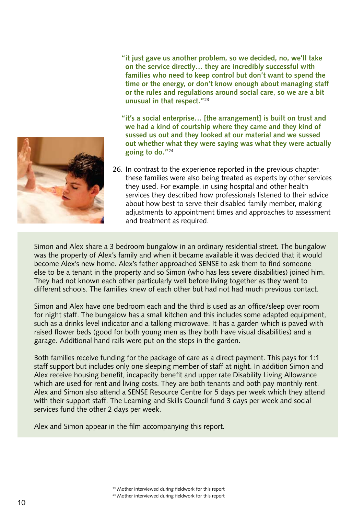

**"it just gave us another problem, so we decided, no, we'll take on the service directly… they are incredibly successful with families who need to keep control but don't want to spend the time or the energy, or don't know enough about managing staff or the rules and regulations around social care, so we are a bit unusual in that respect."**<sup>23</sup>

**"it's a social enterprise… [the arrangement] is built on trust and we had a kind of courtship where they came and they kind of sussed us out and they looked at our material and we sussed out whether what they were saying was what they were actually going to do."**<sup>24</sup>

26. In contrast to the experience reported in the previous chapter, these families were also being treated as experts by other services they used. For example, in using hospital and other health services they described how professionals listened to their advice about how best to serve their disabled family member, making adjustments to appointment times and approaches to assessment and treatment as required.

Simon and Alex share a 3 bedroom bungalow in an ordinary residential street. The bungalow was the property of Alex's family and when it became available it was decided that it would become Alex's new home. Alex's father approached SENSE to ask them to find someone else to be a tenant in the property and so Simon (who has less severe disabilities) joined him. They had not known each other particularly well before living together as they went to different schools. The families knew of each other but had not had much previous contact.

Simon and Alex have one bedroom each and the third is used as an office/sleep over room for night staff. The bungalow has a small kitchen and this includes some adapted equipment, such as a drinks level indicator and a talking microwave. It has a garden which is paved with raised flower beds (good for both young men as they both have visual disabilities) and a garage. Additional hand rails were put on the steps in the garden.

Both families receive funding for the package of care as a direct payment. This pays for 1:1 staff support but includes only one sleeping member of staff at night. In addition Simon and Alex receive housing benefit, incapacity benefit and upper rate Disability Living Allowance which are used for rent and living costs. They are both tenants and both pay monthly rent. Alex and Simon also attend a SENSE Resource Centre for 5 days per week which they attend with their support staff. The Learning and Skills Council fund 3 days per week and social services fund the other 2 days per week.

Alex and Simon appear in the film accompanying this report.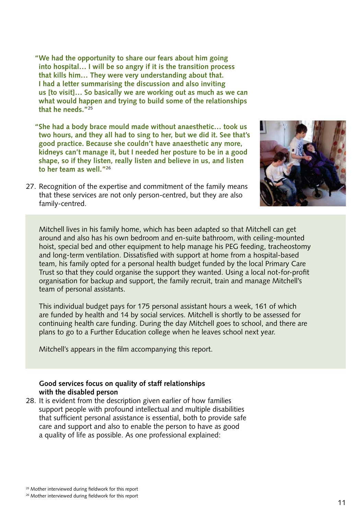<span id="page-11-0"></span>**"We had the opportunity to share our fears about him going into hospital… I will be so angry if it is the transition process that kills him… They were very understanding about that. I had a letter summarising the discussion and also inviting us [to visit]… So basically we are working out as much as we can what would happen and trying to build some of the relationships that he needs."**<sup>25</sup>

**"She had a body brace mould made without anaesthetic… took us two hours, and they all had to sing to her, but we did it. See that's good practice. Because she couldn't have anaesthetic any more, kidneys can't manage it, but I needed her posture to be in a good shape, so if they listen, really listen and believe in us, and listen to her team as well."**<sup>26</sup>

27. Recognition of the expertise and commitment of the family means that these services are not only person-centred, but they are also family-centred.



Mitchell lives in his family home, which has been adapted so that Mitchell can get around and also has his own bedroom and en-suite bathroom, with ceiling-mounted hoist, special bed and other equipment to help manage his PEG feeding, tracheostomy and long-term ventilation. Dissatisfied with support at home from a hospital-based team, his family opted for a personal health budget funded by the local Primary Care Trust so that they could organise the support they wanted. Using a local not-for-profit organisation for backup and support, the family recruit, train and manage Mitchell's team of personal assistants.

This individual budget pays for 175 personal assistant hours a week, 161 of which are funded by health and 14 by social services. Mitchell is shortly to be assessed for continuing health care funding. During the day Mitchell goes to school, and there are plans to go to a Further Education college when he leaves school next year.

Mitchell's appears in the film accompanying this report.

#### **Good services focus on quality of staff relationships with the disabled person**

28. It is evident from the description given earlier of how families support people with profound intellectual and multiple disabilities that sufficient personal assistance is essential, both to provide safe care and support and also to enable the person to have as good a quality of life as possible. As one professional explained: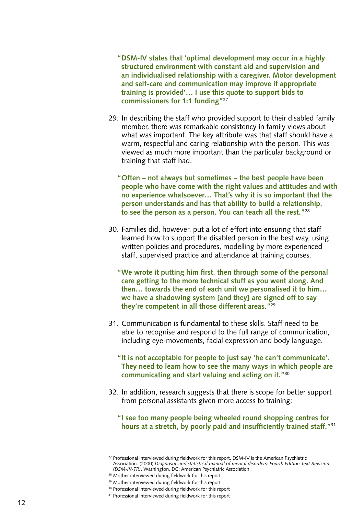**"DSM-IV states that 'optimal development may occur in a highly structured environment with constant aid and supervision and an individualised relationship with a caregiver. Motor development and self-care and communication may improve if appropriate training is provided'… I use this quote to support bids to commissioners for 1:1 funding"**<sup>27</sup>

- 29. In describing the staff who provided support to their disabled family member, there was remarkable consistency in family views about what was important. The key attribute was that staff should have a warm, respectful and caring relationship with the person. This was viewed as much more important than the particular background or training that staff had.
	- **"Often not always but sometimes the best people have been people who have come with the right values and attitudes and with no experience whatsoever… That's why it is so important that the person understands and has that ability to build a relationship, to see the person as a person. You can teach all the rest."**<sup>28</sup>
- 30. Families did, however, put a lot of effort into ensuring that staff learned how to support the disabled person in the best way, using written policies and procedures, modelling by more experienced staff, supervised practice and attendance at training courses.
	- **"We wrote it putting him first, then through some of the personal care getting to the more technical stuff as you went along. And then… towards the end of each unit we personalised it to him… we have a shadowing system [and they] are signed off to say they're competent in all those different areas."**<sup>29</sup>
- 31. Communication is fundamental to these skills. Staff need to be able to recognise and respond to the full range of communication, including eye-movements, facial expression and body language.
	- **"It is not acceptable for people to just say 'he can't communicate'. They need to learn how to see the many ways in which people are communicating and start valuing and acting on it."**<sup>30</sup>
- 32. In addition, research suggests that there is scope for better support from personal assistants given more access to training:
	- **"I see too many people being wheeled round shopping centres for hours at a stretch, by poorly paid and insufficiently trained staff."**<sup>31</sup>

<sup>&</sup>lt;sup>27</sup> Professional interviewed during fieldwork for this report. DSM-IV is the American Psychiatric Association. (2000) *Diagnostic and statistical manual of mental disorders: Fourth Edition Text Revision (DSM-IV-TR)*. Washington, DC: American Psychiatric Association.

<sup>28</sup> Mother interviewed during fieldwork for this report

<sup>29</sup> Mother interviewed during fieldwork for this report

<sup>&</sup>lt;sup>30</sup> Professional interviewed during fieldwork for this report

<sup>&</sup>lt;sup>31</sup> Professional interviewed during fieldwork for this report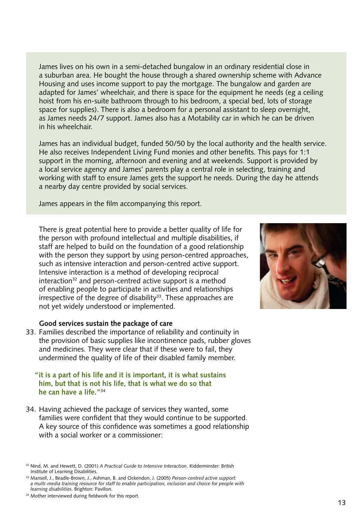<span id="page-13-0"></span>James lives on his own in a semi-detached bungalow in an ordinary residential close in a suburban area. He bought the house through a shared ownership scheme with Advance Housing and uses income support to pay the mortgage. The bungalow and garden are adapted for James' wheelchair, and there is space for the equipment he needs (eg a ceiling hoist from his en-suite bathroom through to his bedroom, a special bed, lots of storage space for supplies). There is also a bedroom for a personal assistant to sleep overnight, as James needs 24/7 support. James also has a Motability car in which he can be driven in his wheelchair.

James has an individual budget, funded 50/50 by the local authority and the health service. He also receives Independent Living Fund monies and other benefits. This pays for 1:1 support in the morning, afternoon and evening and at weekends. Support is provided by a local service agency and James' parents play a central role in selecting, training and working with staff to ensure James gets the support he needs. During the day he attends a nearby day centre provided by social services.

James appears in the film accompanying this report.

 There is great potential here to provide a better quality of life for the person with profound intellectual and multiple disabilities, if staff are helped to build on the foundation of a good relationship with the person they support by using person-centred approaches, such as intensive interaction and person-centred active support. Intensive interaction is a method of developing reciprocal interaction<sup>32</sup> and person-centred active support is a method of enabling people to participate in activities and relationships  $i$ rrespective of the degree of disability<sup>33</sup>. These approaches are not yet widely understood or implemented.

#### **Good services sustain the package of care**

33. Families described the importance of reliability and continuity in the provision of basic supplies like incontinence pads, rubber gloves and medicines. They were clear that if these were to fail, they undermined the quality of life of their disabled family member.

#### **"it is a part of his life and it is important, it is what sustains him, but that is not his life, that is what we do so that he can have a life."**<sup>34</sup>

34. Having achieved the package of services they wanted, some families were confident that they would continue to be supported. A key source of this confidence was sometimes a good relationship with a social worker or a commissioner:



<sup>32</sup> Nind, M. and Hewett, D. (2001) *A Practical Guide to Intensive Interaction*. Kidderminster: British Institute of Learning Disabilities.

<sup>33</sup> Mansell, J., Beadle-Brown, J., Ashman, B. and Ockendon, J. (2005) *Person-centred active support: a multi-media training resource for staff to enable participation, inclusion and choice for people with learning disabilities*. Brighton: Pavilion.

<sup>&</sup>lt;sup>34</sup> Mother interviewed during fieldwork for this report.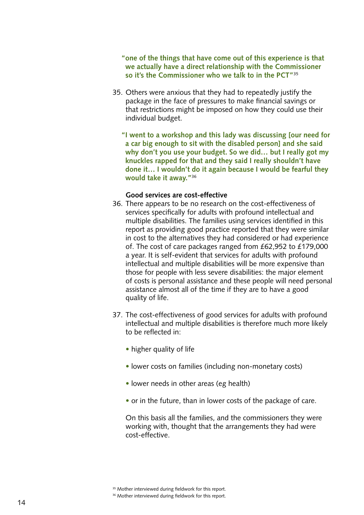<span id="page-14-0"></span>**"one of the things that have come out of this experience is that we actually have a direct relationship with the Commissioner so it's the Commissioner who we talk to in the PCT"**<sup>35</sup>

- 35. Others were anxious that they had to repeatedly justify the package in the face of pressures to make financial savings or that restrictions might be imposed on how they could use their individual budget.
	- **"I went to a workshop and this lady was discussing [our need for a car big enough to sit with the disabled person] and she said why don't you use your budget. So we did… but I really got my knuckles rapped for that and they said I really shouldn't have done it… I wouldn't do it again because I would be fearful they would take it away."**<sup>36</sup>

#### **Good services are cost-effective**

- 36. There appears to be no research on the cost-effectiveness of services specifically for adults with profound intellectual and multiple disabilities. The families using services identified in this report as providing good practice reported that they were similar in cost to the alternatives they had considered or had experience of. The cost of care packages ranged from £62,952 to £179,000 a year. It is self-evident that services for adults with profound intellectual and multiple disabilities will be more expensive than those for people with less severe disabilities: the major element of costs is personal assistance and these people will need personal assistance almost all of the time if they are to have a good quality of life.
- 37. The cost-effectiveness of good services for adults with profound intellectual and multiple disabilities is therefore much more likely to be reflected in:
	- higher quality of life
	- lower costs on families (including non-monetary costs)
	- lower needs in other areas (eg health)
	- or in the future, than in lower costs of the package of care.

 On this basis all the families, and the commissioners they were working with, thought that the arrangements they had were cost-effective.

<sup>&</sup>lt;sup>35</sup> Mother interviewed during fieldwork for this report.

<sup>&</sup>lt;sup>36</sup> Mother interviewed during fieldwork for this report.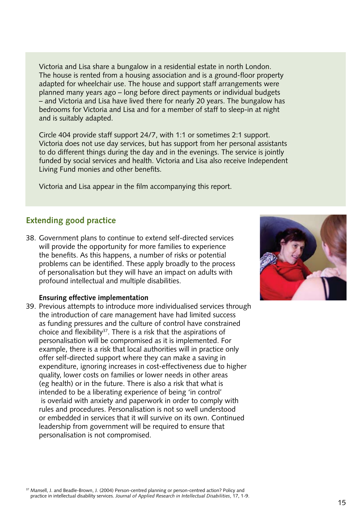<span id="page-15-0"></span>Victoria and Lisa share a bungalow in a residential estate in north London. The house is rented from a housing association and is a ground-floor property adapted for wheelchair use. The house and support staff arrangements were planned many years ago – long before direct payments or individual budgets – and Victoria and Lisa have lived there for nearly 20 years. The bungalow has bedrooms for Victoria and Lisa and for a member of staff to sleep-in at night and is suitably adapted.

Circle 404 provide staff support 24/7, with 1:1 or sometimes 2:1 support. Victoria does not use day services, but has support from her personal assistants to do different things during the day and in the evenings. The service is jointly funded by social services and health. Victoria and Lisa also receive Independent Living Fund monies and other benefits.

Victoria and Lisa appear in the film accompanying this report.

## **Extending good practice**

38. Government plans to continue to extend self-directed services will provide the opportunity for more families to experience the benefits. As this happens, a number of risks or potential problems can be identified. These apply broadly to the process of personalisation but they will have an impact on adults with profound intellectual and multiple disabilities.

#### **Ensuring effective implementation**

39. Previous attempts to introduce more individualised services through the introduction of care management have had limited success as funding pressures and the culture of control have constrained choice and flexibility<sup>37</sup>. There is a risk that the aspirations of personalisation will be compromised as it is implemented. For example, there is a risk that local authorities will in practice only offer self-directed support where they can make a saving in expenditure, ignoring increases in cost-effectiveness due to higher quality, lower costs on families or lower needs in other areas (eg health) or in the future. There is also a risk that what is intended to be a liberating experience of being 'in control' is overlaid with anxiety and paperwork in order to comply with rules and procedures. Personalisation is not so well understood or embedded in services that it will survive on its own. Continued leadership from government will be required to ensure that personalisation is not compromised.

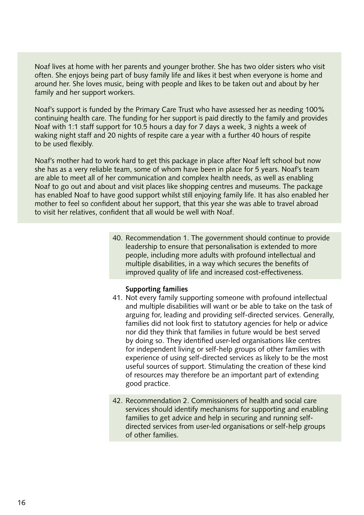<span id="page-16-0"></span>Noaf lives at home with her parents and younger brother. She has two older sisters who visit often. She enjoys being part of busy family life and likes it best when everyone is home and around her. She loves music, being with people and likes to be taken out and about by her family and her support workers.

Noaf's support is funded by the Primary Care Trust who have assessed her as needing 100% continuing health care. The funding for her support is paid directly to the family and provides Noaf with 1:1 staff support for 10.5 hours a day for 7 days a week, 3 nights a week of waking night staff and 20 nights of respite care a year with a further 40 hours of respite to be used flexibly.

Noaf's mother had to work hard to get this package in place after Noaf left school but now she has as a very reliable team, some of whom have been in place for 5 years. Noaf's team are able to meet all of her communication and complex health needs, as well as enabling Noaf to go out and about and visit places like shopping centres and museums. The package has enabled Noaf to have good support whilst still enjoying family life. It has also enabled her mother to feel so confident about her support, that this year she was able to travel abroad to visit her relatives, confident that all would be well with Noaf.

> 40. Recommendation 1. The government should continue to provide leadership to ensure that personalisation is extended to more people, including more adults with profound intellectual and multiple disabilities, in a way which secures the benefits of improved quality of life and increased cost-effectiveness.

#### **Supporting families**

- 41. Not every family supporting someone with profound intellectual and multiple disabilities will want or be able to take on the task of arguing for, leading and providing self-directed services. Generally, families did not look first to statutory agencies for help or advice nor did they think that families in future would be best served by doing so. They identified user-led organisations like centres for independent living or self-help groups of other families with experience of using self-directed services as likely to be the most useful sources of support. Stimulating the creation of these kind of resources may therefore be an important part of extending good practice.
- 42. Recommendation 2. Commissioners of health and social care services should identify mechanisms for supporting and enabling families to get advice and help in securing and running selfdirected services from user-led organisations or self-help groups of other families.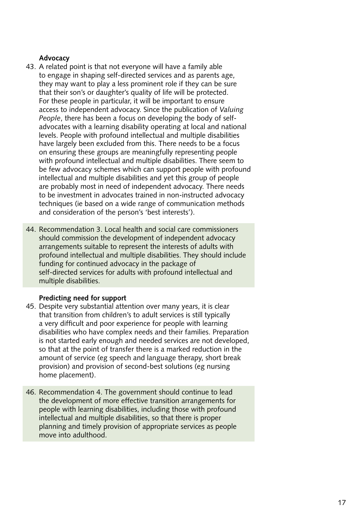#### <span id="page-17-0"></span> **Advocacy**

- 43. A related point is that not everyone will have a family able to engage in shaping self-directed services and as parents age, they may want to play a less prominent role if they can be sure that their son's or daughter's quality of life will be protected. For these people in particular, it will be important to ensure access to independent advocacy. Since the publication of *Valuing People*, there has been a focus on developing the body of selfadvocates with a learning disability operating at local and national levels. People with profound intellectual and multiple disabilities have largely been excluded from this. There needs to be a focus on ensuring these groups are meaningfully representing people with profound intellectual and multiple disabilities. There seem to be few advocacy schemes which can support people with profound intellectual and multiple disabilities and yet this group of people are probably most in need of independent advocacy. There needs to be investment in advocates trained in non-instructed advocacy techniques (ie based on a wide range of communication methods and consideration of the person's 'best interests').
- 44. Recommendation 3. Local health and social care commissioners should commission the development of independent advocacy arrangements suitable to represent the interests of adults with profound intellectual and multiple disabilities. They should include funding for continued advocacy in the package of self-directed services for adults with profound intellectual and multiple disabilities.

#### **Predicting need for support**

- 45. Despite very substantial attention over many years, it is clear that transition from children's to adult services is still typically a very difficult and poor experience for people with learning disabilities who have complex needs and their families. Preparation is not started early enough and needed services are not developed, so that at the point of transfer there is a marked reduction in the amount of service (eg speech and language therapy, short break provision) and provision of second-best solutions (eg nursing home placement).
- 46. Recommendation 4. The government should continue to lead the development of more effective transition arrangements for people with learning disabilities, including those with profound intellectual and multiple disabilities, so that there is proper planning and timely provision of appropriate services as people move into adulthood.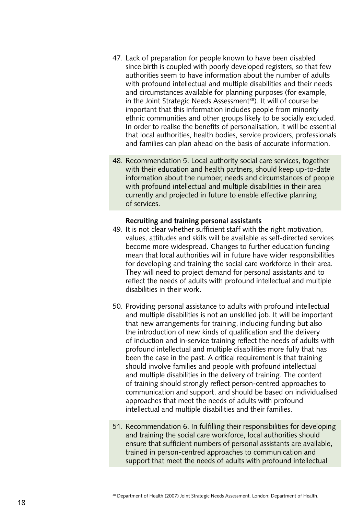- <span id="page-18-0"></span>47. Lack of preparation for people known to have been disabled since birth is coupled with poorly developed registers, so that few authorities seem to have information about the number of adults with profound intellectual and multiple disabilities and their needs and circumstances available for planning purposes (for example, in the Joint Strategic Needs Assessment<sup>38</sup>). It will of course be important that this information includes people from minority ethnic communities and other groups likely to be socially excluded. In order to realise the benefits of personalisation, it will be essential that local authorities, health bodies, service providers, professionals and families can plan ahead on the basis of accurate information.
- 48. Recommendation 5. Local authority social care services, together with their education and health partners, should keep up-to-date information about the number, needs and circumstances of people with profound intellectual and multiple disabilities in their area currently and projected in future to enable effective planning of services.

#### **Recruiting and training personal assistants**

- 49. It is not clear whether sufficient staff with the right motivation, values, attitudes and skills will be available as self-directed services become more widespread. Changes to further education funding mean that local authorities will in future have wider responsibilities for developing and training the social care workforce in their area. They will need to project demand for personal assistants and to reflect the needs of adults with profound intellectual and multiple disabilities in their work.
- 50. Providing personal assistance to adults with profound intellectual and multiple disabilities is not an unskilled job. It will be important that new arrangements for training, including funding but also the introduction of new kinds of qualification and the delivery of induction and in-service training reflect the needs of adults with profound intellectual and multiple disabilities more fully that has been the case in the past. A critical requirement is that training should involve families and people with profound intellectual and multiple disabilities in the delivery of training. The content of training should strongly reflect person-centred approaches to communication and support, and should be based on individualised approaches that meet the needs of adults with profound intellectual and multiple disabilities and their families.
- 51. Recommendation 6. In fulfilling their responsibilities for developing and training the social care workforce, local authorities should ensure that sufficient numbers of personal assistants are available, trained in person-centred approaches to communication and support that meet the needs of adults with profound intellectual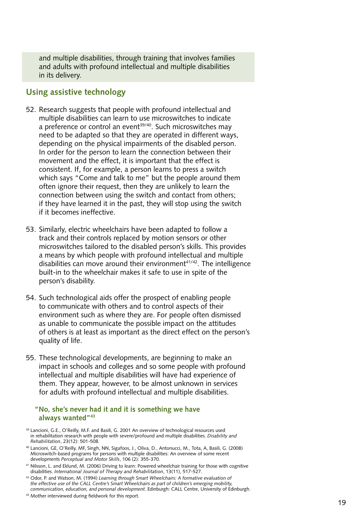<span id="page-19-0"></span> and multiple disabilities, through training that involves families and adults with profound intellectual and multiple disabilities in its delivery.

#### **Using assistive technology**

- 52. Research suggests that people with profound intellectual and multiple disabilities can learn to use microswitches to indicate a preference or control an event<sup>39/40</sup>. Such microswitches may need to be adapted so that they are operated in different ways, depending on the physical impairments of the disabled person. In order for the person to learn the connection between their movement and the effect, it is important that the effect is consistent. If, for example, a person learns to press a switch which says "Come and talk to me" but the people around them often ignore their request, then they are unlikely to learn the connection between using the switch and contact from others; if they have learned it in the past, they will stop using the switch if it becomes ineffective.
- 53. Similarly, electric wheelchairs have been adapted to follow a track and their controls replaced by motion sensors or other microswitches tailored to the disabled person's skills. This provides a means by which people with profound intellectual and multiple disabilities can move around their environment $41/42$ . The intelligence built-in to the wheelchair makes it safe to use in spite of the person's disability.
- 54. Such technological aids offer the prospect of enabling people to communicate with others and to control aspects of their environment such as where they are. For people often dismissed as unable to communicate the possible impact on the attitudes of others is at least as important as the direct effect on the person's quality of life.
- 55. These technological developments, are beginning to make an impact in schools and colleges and so some people with profound intellectual and multiple disabilities will have had experience of them. They appear, however, to be almost unknown in services for adults with profound intellectual and multiple disabilities.

#### **"No, she's never had it and it is something we have always wanted"43**

- <sup>39</sup> Lancioni, G.E., O'Reilly, M.F. and Basili, G. 2001 An overview of technological resources used in rehabilitation research with people with severe/profound and multiple disabilities. *Disability and Rehabilitation*, 23(12): 501-508.
- <sup>40</sup> Lancioni, GE, O'Reilly, MF, Singh, NN, Sigafoos, J., Oliva, D., Antonucci, M., Tota, A, Basili, G. (2008) Microswitch-based programs for persons with multiple disabilities: An overview of some recent developments *Perceptual and Motor Skills*, 106 (2): 355-370.
- <sup>41</sup> Nilsson, L. and Eklund, M. (2006) Driving to learn: Powered wheelchair training for those with cognitive disabilities. *International Journal of Therapy and Rehabilitation*, 13(11), 517-527.
- <sup>42</sup> Odor, P. and Watson, M. (1994) *Learning through Smart Wheelchairs: A formative evaluation of the effective use of the CALL Centre's Smart Wheelchairs as part of children's emerging mobility, communication, education, and personal development*. Edinburgh: CALL Centre, University of Edinburgh.
- 43 Mother interviewed during fieldwork for this report.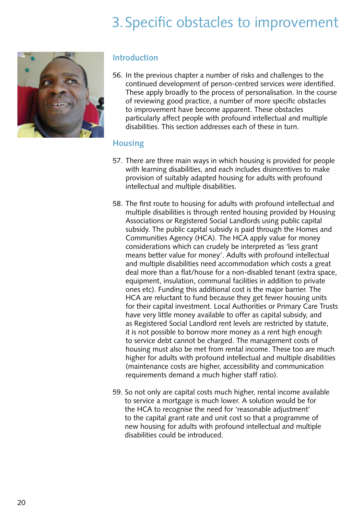# 3. Specific obstacles to improvement

<span id="page-20-0"></span>

#### **Introduction**

56. In the previous chapter a number of risks and challenges to the continued development of person-centred services were identified. These apply broadly to the process of personalisation. In the course of reviewing good practice, a number of more specific obstacles to improvement have become apparent. These obstacles particularly affect people with profound intellectual and multiple disabilities. This section addresses each of these in turn.

### **Housing**

- 57. There are three main ways in which housing is provided for people with learning disabilities, and each includes disincentives to make provision of suitably adapted housing for adults with profound intellectual and multiple disabilities.
- 58. The first route to housing for adults with profound intellectual and multiple disabilities is through rented housing provided by Housing Associations or Registered Social Landlords using public capital subsidy. The public capital subsidy is paid through the Homes and Communities Agency (HCA). The HCA apply value for money considerations which can crudely be interpreted as 'less grant means better value for money'. Adults with profound intellectual and multiple disabilities need accommodation which costs a great deal more than a flat/house for a non-disabled tenant (extra space, equipment, insulation, communal facilities in addition to private ones etc). Funding this additional cost is the major barrier. The HCA are reluctant to fund because they get fewer housing units for their capital investment. Local Authorities or Primary Care Trusts have very little money available to offer as capital subsidy, and as Registered Social Landlord rent levels are restricted by statute, it is not possible to borrow more money as a rent high enough to service debt cannot be charged. The management costs of housing must also be met from rental income. These too are much higher for adults with profound intellectual and multiple disabilities (maintenance costs are higher, accessibility and communication requirements demand a much higher staff ratio).
- 59. So not only are capital costs much higher, rental income available to service a mortgage is much lower. A solution would be for the HCA to recognise the need for 'reasonable adjustment' to the capital grant rate and unit cost so that a programme of new housing for adults with profound intellectual and multiple disabilities could be introduced.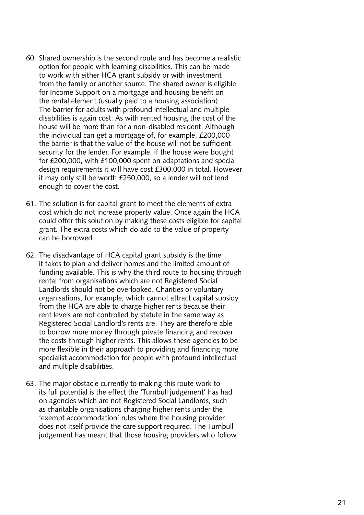- 60. Shared ownership is the second route and has become a realistic option for people with learning disabilities. This can be made to work with either HCA grant subsidy or with investment from the family or another source. The shared owner is eligible for Income Support on a mortgage and housing benefit on the rental element (usually paid to a housing association). The barrier for adults with profound intellectual and multiple disabilities is again cost. As with rented housing the cost of the house will be more than for a non-disabled resident. Although the individual can get a mortgage of, for example, £200,000 the barrier is that the value of the house will not be sufficient security for the lender. For example, if the house were bought for £200,000, with £100,000 spent on adaptations and special design requirements it will have cost £300,000 in total. However it may only still be worth £250,000, so a lender will not lend enough to cover the cost.
- 61. The solution is for capital grant to meet the elements of extra cost which do not increase property value. Once again the HCA could offer this solution by making these costs eligible for capital grant. The extra costs which do add to the value of property can be borrowed.
- 62. The disadvantage of HCA capital grant subsidy is the time it takes to plan and deliver homes and the limited amount of funding available. This is why the third route to housing through rental from organisations which are not Registered Social Landlords should not be overlooked. Charities or voluntary organisations, for example, which cannot attract capital subsidy from the HCA are able to charge higher rents because their rent levels are not controlled by statute in the same way as Registered Social Landlord's rents are. They are therefore able to borrow more money through private financing and recover the costs through higher rents. This allows these agencies to be more flexible in their approach to providing and financing more specialist accommodation for people with profound intellectual and multiple disabilities.
- 63. The major obstacle currently to making this route work to its full potential is the effect the 'Turnbull judgement' has had on agencies which are not Registered Social Landlords, such as charitable organisations charging higher rents under the 'exempt accommodation' rules where the housing provider does not itself provide the care support required. The Turnbull judgement has meant that those housing providers who follow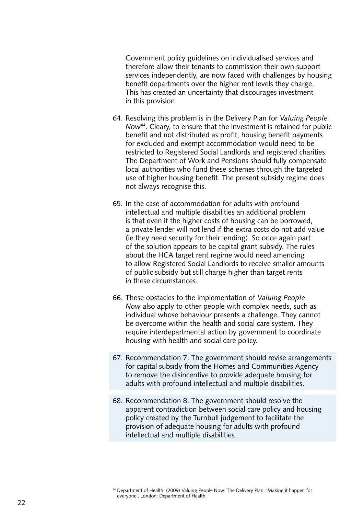Government policy guidelines on individualised services and therefore allow their tenants to commission their own support services independently, are now faced with challenges by housing benefit departments over the higher rent levels they charge. This has created an uncertainty that discourages investment in this provision.

- 64. Resolving this problem is in the Delivery Plan for *Valuing People Now*44. Cleary, to ensure that the investment is retained for public benefit and not distributed as profit, housing benefit payments for excluded and exempt accommodation would need to be restricted to Registered Social Landlords and registered charities. The Department of Work and Pensions should fully compensate local authorities who fund these schemes through the targeted use of higher housing benefit. The present subsidy regime does not always recognise this.
- 65. In the case of accommodation for adults with profound intellectual and multiple disabilities an additional problem is that even if the higher costs of housing can be borrowed, a private lender will not lend if the extra costs do not add value (ie they need security for their lending). So once again part of the solution appears to be capital grant subsidy. The rules about the HCA target rent regime would need amending to allow Registered Social Landlords to receive smaller amounts of public subsidy but still charge higher than target rents in these circumstances.
- 66. These obstacles to the implementation of *Valuing People Now* also apply to other people with complex needs, such as individual whose behaviour presents a challenge. They cannot be overcome within the health and social care system. They require interdepartmental action by government to coordinate housing with health and social care policy.
- 67. Recommendation 7. The government should revise arrangements for capital subsidy from the Homes and Communities Agency to remove the disincentive to provide adequate housing for adults with profound intellectual and multiple disabilities.
- 68. Recommendation 8. The government should resolve the apparent contradiction between social care policy and housing policy created by the Turnbull judgement to facilitate the provision of adequate housing for adults with profound intellectual and multiple disabilities.

<sup>44</sup> Department of Health. (2009) Valuing People Now: The Delivery Plan. 'Making it happen for everyone'. London: Department of Health.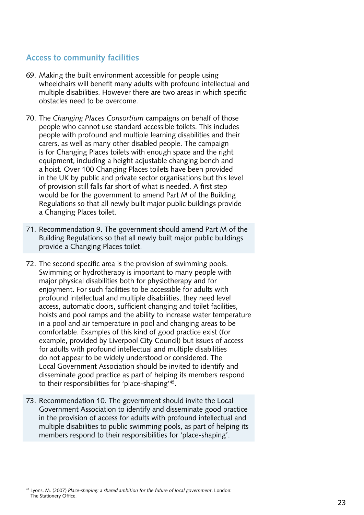### <span id="page-23-0"></span>**Access to community facilities**

- 69. Making the built environment accessible for people using wheelchairs will benefit many adults with profound intellectual and multiple disabilities. However there are two areas in which specific obstacles need to be overcome.
- 70. The *Changing Places Consortium* campaigns on behalf of those people who cannot use standard accessible toilets. This includes people with profound and multiple learning disabilities and their carers, as well as many other disabled people. The campaign is for Changing Places toilets with enough space and the right equipment, including a height adjustable changing bench and a hoist. Over 100 Changing Places toilets have been provided in the UK by public and private sector organisations but this level of provision still falls far short of what is needed. A first step would be for the government to amend Part M of the Building Regulations so that all newly built major public buildings provide a Changing Places toilet.
- 71. Recommendation 9. The government should amend Part M of the Building Regulations so that all newly built major public buildings provide a Changing Places toilet.
- 72. The second specific area is the provision of swimming pools. Swimming or hydrotherapy is important to many people with major physical disabilities both for physiotherapy and for enjoyment. For such facilities to be accessible for adults with profound intellectual and multiple disabilities, they need level access, automatic doors, sufficient changing and toilet facilities, hoists and pool ramps and the ability to increase water temperature in a pool and air temperature in pool and changing areas to be comfortable. Examples of this kind of good practice exist (for example, provided by Liverpool City Council) but issues of access for adults with profound intellectual and multiple disabilities do not appear to be widely understood or considered. The Local Government Association should be invited to identify and disseminate good practice as part of helping its members respond to their responsibilities for 'place-shaping'45.
- 73. Recommendation 10. The government should invite the Local Government Association to identify and disseminate good practice in the provision of access for adults with profound intellectual and multiple disabilities to public swimming pools, as part of helping its members respond to their responsibilities for 'place-shaping'.

<sup>45</sup> Lyons, M. (2007) *Place-shaping: a shared ambition for the future of local government*. London: The Stationery Office.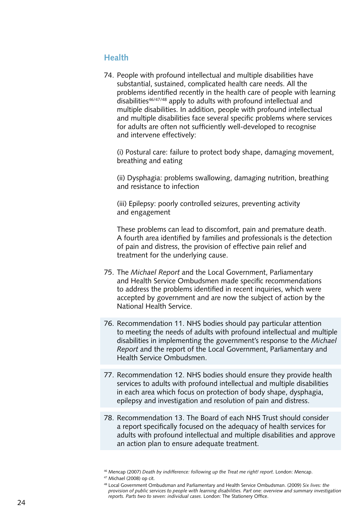### <span id="page-24-0"></span>**Health**

74. People with profound intellectual and multiple disabilities have substantial, sustained, complicated health care needs. All the problems identified recently in the health care of people with learning disabilities<sup>46/47/48</sup> apply to adults with profound intellectual and multiple disabilities. In addition, people with profound intellectual and multiple disabilities face several specific problems where services for adults are often not sufficiently well-developed to recognise and intervene effectively:

 (i) Postural care: failure to protect body shape, damaging movement, breathing and eating

 (ii) Dysphagia: problems swallowing, damaging nutrition, breathing and resistance to infection

 (iii) Epilepsy: poorly controlled seizures, preventing activity and engagement

 These problems can lead to discomfort, pain and premature death. A fourth area identified by families and professionals is the detection of pain and distress, the provision of effective pain relief and treatment for the underlying cause.

- 75. The *Michael Report* and the Local Government, Parliamentary and Health Service Ombudsmen made specific recommendations to address the problems identified in recent inquiries, which were accepted by government and are now the subject of action by the National Health Service.
- 76. Recommendation 11. NHS bodies should pay particular attention to meeting the needs of adults with profound intellectual and multiple disabilities in implementing the government's response to the *Michael Report* and the report of the Local Government, Parliamentary and Health Service Ombudsmen.
- 77. Recommendation 12. NHS bodies should ensure they provide health services to adults with profound intellectual and multiple disabilities in each area which focus on protection of body shape, dysphagia, epilepsy and investigation and resolution of pain and distress.
- 78. Recommendation 13. The Board of each NHS Trust should consider a report specifically focused on the adequacy of health services for adults with profound intellectual and multiple disabilities and approve an action plan to ensure adequate treatment.

<sup>46</sup> Mencap (2007) *Death by indifference: following up the Treat me right! report*. London: Mencap.

<sup>47</sup> Michael (2008) op cit.

<sup>48</sup> Local Government Ombudsman and Parliamentary and Health Service Ombudsman. (2009) *Six lives: the provision of public services to people with learning disabilities. Part one: overview and summary investigation reports. Parts two to seven: individual cases*. London: The Stationery Office.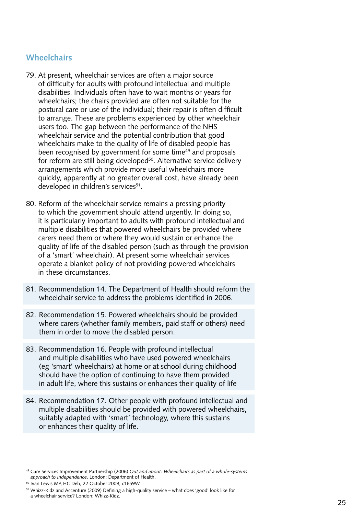#### <span id="page-25-0"></span>**Wheelchairs**

- 79. At present, wheelchair services are often a major source of difficulty for adults with profound intellectual and multiple disabilities. Individuals often have to wait months or years for wheelchairs; the chairs provided are often not suitable for the postural care or use of the individual; their repair is often difficult to arrange. These are problems experienced by other wheelchair users too. The gap between the performance of the NHS wheelchair service and the potential contribution that good wheelchairs make to the quality of life of disabled people has been recognised by government for some time<sup>49</sup> and proposals for reform are still being developed<sup>50</sup>. Alternative service delivery arrangements which provide more useful wheelchairs more quickly, apparently at no greater overall cost, have already been developed in children's services<sup>51</sup>.
- 80. Reform of the wheelchair service remains a pressing priority to which the government should attend urgently. In doing so, it is particularly important to adults with profound intellectual and multiple disabilities that powered wheelchairs be provided where carers need them or where they would sustain or enhance the quality of life of the disabled person (such as through the provision of a 'smart' wheelchair). At present some wheelchair services operate a blanket policy of not providing powered wheelchairs in these circumstances.
- 81. Recommendation 14. The Department of Health should reform the wheelchair service to address the problems identified in 2006.
- 82. Recommendation 15. Powered wheelchairs should be provided where carers (whether family members, paid staff or others) need them in order to move the disabled person.
- 83. Recommendation 16. People with profound intellectual and multiple disabilities who have used powered wheelchairs (eg 'smart' wheelchairs) at home or at school during childhood should have the option of continuing to have them provided in adult life, where this sustains or enhances their quality of life
- 84. Recommendation 17. Other people with profound intellectual and multiple disabilities should be provided with powered wheelchairs, suitably adapted with 'smart' technology, where this sustains or enhances their quality of life.

<sup>49</sup> Care Services Improvement Partnership (2006) *Out and about: Wheelchairs as part of a whole-systems approach to independence*. London: Department of Health.

<sup>50</sup> Ivan Lewis MP, HC Deb, 22 October 2009, c1659W.

<sup>51</sup> Whizz-Kidz and Accenture (2009) Defining a high-quality service – what does 'good' look like for a wheelchair service? London: Whizz-Kidz.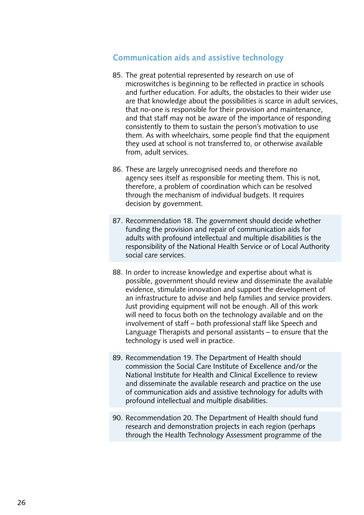### <span id="page-26-0"></span>**Communication aids and assistive technology**

- 85. The great potential represented by research on use of microswitches is beginning to be reflected in practice in schools and further education. For adults, the obstacles to their wider use are that knowledge about the possibilities is scarce in adult services, that no-one is responsible for their provision and maintenance, and that staff may not be aware of the importance of responding consistently to them to sustain the person's motivation to use them. As with wheelchairs, some people find that the equipment they used at school is not transferred to, or otherwise available from, adult services.
- 86. These are largely unrecognised needs and therefore no agency sees itself as responsible for meeting them. This is not, therefore, a problem of coordination which can be resolved through the mechanism of individual budgets. It requires decision by government.
- 87. Recommendation 18. The government should decide whether funding the provision and repair of communication aids for adults with profound intellectual and multiple disabilities is the responsibility of the National Health Service or of Local Authority social care services.
- 88. In order to increase knowledge and expertise about what is possible, government should review and disseminate the available evidence, stimulate innovation and support the development of an infrastructure to advise and help families and service providers. Just providing equipment will not be enough. All of this work will need to focus both on the technology available and on the involvement of staff – both professional staff like Speech and Language Therapists and personal assistants – to ensure that the technology is used well in practice.
- 89. Recommendation 19. The Department of Health should commission the Social Care Institute of Excellence and/or the National Institute for Health and Clinical Excellence to review and disseminate the available research and practice on the use of communication aids and assistive technology for adults with profound intellectual and multiple disabilities.
- 90. Recommendation 20. The Department of Health should fund research and demonstration projects in each region (perhaps through the Health Technology Assessment programme of the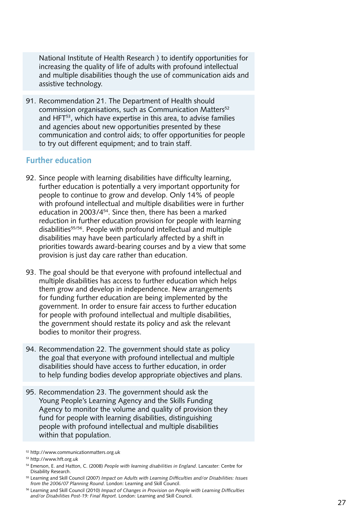<span id="page-27-0"></span>National Institute of Health Research ) to identify opportunities for increasing the quality of life of adults with profound intellectual and multiple disabilities though the use of communication aids and assistive technology.

91. Recommendation 21. The Department of Health should commission organisations, such as Communication Matters<sup>52</sup> and HFT<sup>53</sup>, which have expertise in this area, to advise families and agencies about new opportunities presented by these communication and control aids; to offer opportunities for people to try out different equipment; and to train staff.

#### **Further education**

- 92. Since people with learning disabilities have difficulty learning, further education is potentially a very important opportunity for people to continue to grow and develop. Only 14% of people with profound intellectual and multiple disabilities were in further education in 2003/454. Since then, there has been a marked reduction in further education provision for people with learning disabilities<sup>55/56</sup>. People with profound intellectual and multiple disabilities may have been particularly affected by a shift in priorities towards award-bearing courses and by a view that some provision is just day care rather than education.
- 93. The goal should be that everyone with profound intellectual and multiple disabilities has access to further education which helps them grow and develop in independence. New arrangements for funding further education are being implemented by the government. In order to ensure fair access to further education for people with profound intellectual and multiple disabilities, the government should restate its policy and ask the relevant bodies to monitor their progress.
- 94. Recommendation 22. The government should state as policy the goal that everyone with profound intellectual and multiple disabilities should have access to further education, in order to help funding bodies develop appropriate objectives and plans.
- 95. Recommendation 23. The government should ask the Young People's Learning Agency and the Skills Funding Agency to monitor the volume and quality of provision they fund for people with learning disabilities, distinguishing people with profound intellectual and multiple disabilities within that population.

<sup>52</sup> http://www.communicationmatters.org.uk

<sup>53</sup> http://www.hft.org.uk

<sup>54</sup> Emerson, E. and Hatton, C. (2008) *People with learning disabilities in England*. Lancaster: Centre for Disability Research.

<sup>55</sup> Learning and Skill Council (2007) *Impact on Adults with Learning Difficulties and/or Disabilities: Issues from the 2006/07 Planning Round*. London: Learning and Skill Council.

<sup>56</sup> Learning and Skill Council (2010) *Impact of Changes in Provision on People with Learning Difficulties and/or Disabilities Post-19: Final Report*. London: Learning and Skill Council.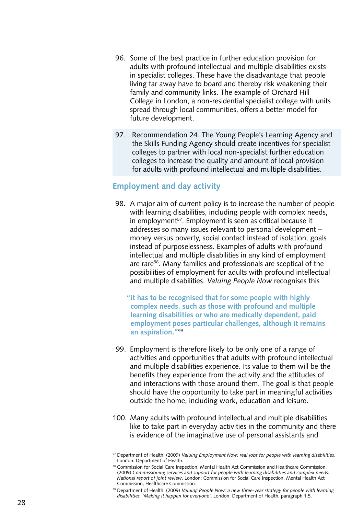- <span id="page-28-0"></span>96. Some of the best practice in further education provision for adults with profound intellectual and multiple disabilities exists in specialist colleges. These have the disadvantage that people living far away have to board and thereby risk weakening their family and community links. The example of Orchard Hill College in London, a non-residential specialist college with units spread through local communities, offers a better model for future development.
- 97. Recommendation 24. The Young People's Learning Agency and the Skills Funding Agency should create incentives for specialist colleges to partner with local non-specialist further education colleges to increase the quality and amount of local provision for adults with profound intellectual and multiple disabilities.

#### **Employment and day activity**

- 98. A major aim of current policy is to increase the number of people with learning disabilities, including people with complex needs, in employment<sup>57</sup>. Employment is seen as critical because it addresses so many issues relevant to personal development – money versus poverty, social contact instead of isolation, goals instead of purposelessness. Examples of adults with profound intellectual and multiple disabilities in any kind of employment are rare<sup>58</sup>. Many families and professionals are sceptical of the possibilities of employment for adults with profound intellectual and multiple disabilities. *Valuing People Now* recognises this
	- **"it has to be recognised that for some people with highly complex needs, such as those with profound and multiple learning disabilities or who are medically dependent, paid employment poses particular challenges, although it remains an aspiration."**<sup>59</sup>
- 99. Employment is therefore likely to be only one of a range of activities and opportunities that adults with profound intellectual and multiple disabilities experience. Its value to them will be the benefits they experience from the activity and the attitudes of and interactions with those around them. The goal is that people should have the opportunity to take part in meaningful activities outside the home, including work, education and leisure.
- 100. Many adults with profound intellectual and multiple disabilities like to take part in everyday activities in the community and there is evidence of the imaginative use of personal assistants and

<sup>57</sup> Department of Health. (2009) *Valuing Employment Now: real jobs for people with learning disabilities*. London: Department of Health.

<sup>58</sup> Commission for Social Care Inspection, Mental Health Act Commission and Healthcare Commission. (2009) *Commissioning services and support for people with learning disabilities and complex needs: National report of joint review*. London: Commission for Social Care Inspection, Mental Health Act Commission, Healthcare Commission.

<sup>59</sup> Department of Health. (2009) *Valuing People Now: a new three-year strategy for people with learning disabilities. 'Making it happen for everyone'*. London: Department of Health, paragraph 1.5.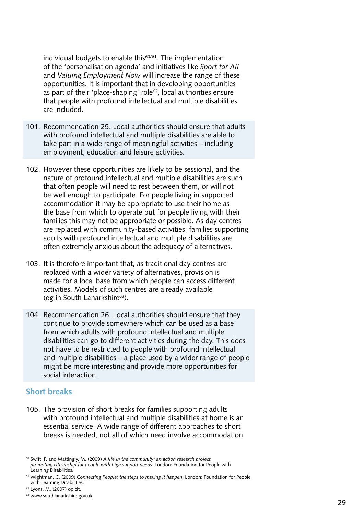<span id="page-29-0"></span>individual budgets to enable this<sup>60/61</sup>. The implementation of the 'personalisation agenda' and initiatives like *Sport for All* and *Valuing Employment Now* will increase the range of these opportunities. It is important that in developing opportunities as part of their 'place-shaping' role<sup>62</sup>, local authorities ensure that people with profound intellectual and multiple disabilities are included.

- 101. Recommendation 25. Local authorities should ensure that adults with profound intellectual and multiple disabilities are able to take part in a wide range of meaningful activities – including employment, education and leisure activities.
- 102. However these opportunities are likely to be sessional, and the nature of profound intellectual and multiple disabilities are such that often people will need to rest between them, or will not be well enough to participate. For people living in supported accommodation it may be appropriate to use their home as the base from which to operate but for people living with their families this may not be appropriate or possible. As day centres are replaced with community-based activities, families supporting adults with profound intellectual and multiple disabilities are often extremely anxious about the adequacy of alternatives.
- 103. It is therefore important that, as traditional day centres are replaced with a wider variety of alternatives, provision is made for a local base from which people can access different activities. Models of such centres are already available (eg in South Lanarkshire $63$ ).
- 104. Recommendation 26. Local authorities should ensure that they continue to provide somewhere which can be used as a base from which adults with profound intellectual and multiple disabilities can go to different activities during the day. This does not have to be restricted to people with profound intellectual and multiple disabilities – a place used by a wider range of people might be more interesting and provide more opportunities for social interaction.

#### **Short breaks**

105. The provision of short breaks for families supporting adults with profound intellectual and multiple disabilities at home is an essential service. A wide range of different approaches to short breaks is needed, not all of which need involve accommodation.

<sup>60</sup> Swift, P. and Mattingly, M. (2009) *A life in the community: an action research project promoting citizenship for people with high support needs*. London: Foundation for People with Learning Disabilities.

<sup>61</sup> Wightman, C. (2009) *Connecting People: the steps to making it happen*. London: Foundation for People with Learning Disabilities.

<sup>62</sup> Lyons, M. (2007) op cit.

<sup>63</sup> www.southlanarkshire.gov.uk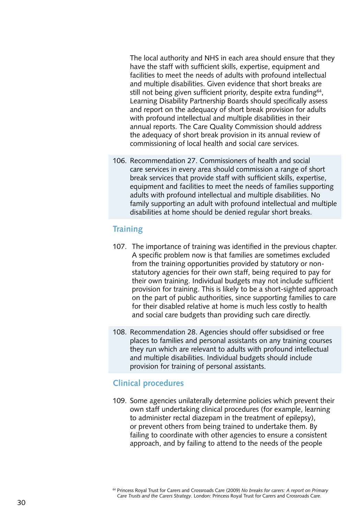<span id="page-30-0"></span> The local authority and NHS in each area should ensure that they have the staff with sufficient skills, expertise, equipment and facilities to meet the needs of adults with profound intellectual and multiple disabilities. Given evidence that short breaks are still not being given sufficient priority, despite extra funding<sup>64</sup>, Learning Disability Partnership Boards should specifically assess and report on the adequacy of short break provision for adults with profound intellectual and multiple disabilities in their annual reports. The Care Quality Commission should address the adequacy of short break provision in its annual review of commissioning of local health and social care services.

106. Recommendation 27. Commissioners of health and social care services in every area should commission a range of short break services that provide staff with sufficient skills, expertise, equipment and facilities to meet the needs of families supporting adults with profound intellectual and multiple disabilities. No family supporting an adult with profound intellectual and multiple disabilities at home should be denied regular short breaks.

#### **Training**

- 107. The importance of training was identified in the previous chapter. A specific problem now is that families are sometimes excluded from the training opportunities provided by statutory or nonstatutory agencies for their own staff, being required to pay for their own training. Individual budgets may not include sufficient provision for training. This is likely to be a short-sighted approach on the part of public authorities, since supporting families to care for their disabled relative at home is much less costly to health and social care budgets than providing such care directly.
- 108. Recommendation 28. Agencies should offer subsidised or free places to families and personal assistants on any training courses they run which are relevant to adults with profound intellectual and multiple disabilities. Individual budgets should include provision for training of personal assistants.

#### **Clinical procedures**

109. Some agencies unilaterally determine policies which prevent their own staff undertaking clinical procedures (for example, learning to administer rectal diazepam in the treatment of epilepsy), or prevent others from being trained to undertake them. By failing to coordinate with other agencies to ensure a consistent approach, and by failing to attend to the needs of the people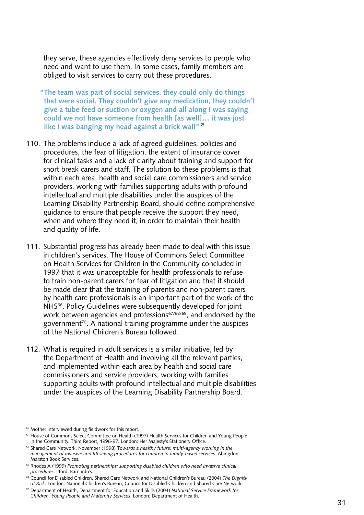they serve, these agencies effectively deny services to people who need and want to use them. In some cases, family members are obliged to visit services to carry out these procedures.

**"The team was part of social services, they could only do things that were social. They couldn't give any medication, they couldn't give a tube feed or suction or oxygen and all along I was saying could we not have someone from health [as well]… it was just like I was banging my head against a brick wall"**<sup>65</sup>

- 110. The problems include a lack of agreed guidelines, policies and procedures, the fear of litigation, the extent of insurance cover for clinical tasks and a lack of clarity about training and support for short break carers and staff. The solution to these problems is that within each area, health and social care commissioners and service providers, working with families supporting adults with profound intellectual and multiple disabilities under the auspices of the Learning Disability Partnership Board, should define comprehensive guidance to ensure that people receive the support they need, when and where they need it, in order to maintain their health and quality of life.
- 111. Substantial progress has already been made to deal with this issue in children's services. The House of Commons Select Committee on Health Services for Children in the Community concluded in 1997 that it was unacceptable for health professionals to refuse to train non-parent carers for fear of litigation and that it should be made clear that the training of parents and non-parent carers by health care professionals is an important part of the work of the NHS<sup>66</sup>. Policy Guidelines were subsequently developed for joint work between agencies and professions<sup>67/68/69</sup>, and endorsed by the government<sup>70</sup>. A national training programme under the auspices of the National Children's Bureau followed.
- 112. What is required in adult services is a similar initiative, led by the Department of Health and involving all the relevant parties, and implemented within each area by health and social care commissioners and service providers, working with families supporting adults with profound intellectual and multiple disabilities under the auspices of the Learning Disability Partnership Board.

<sup>65</sup> Mother interviewed during fieldwork for this report.

<sup>66</sup> House of Commons Select Committee on Health (1997) Health Services for Children and Young People in the Community. Third Report, 1996-97. London: Her Majesty's Stationery Office.

<sup>67</sup> Shared Care Network. November (1998) T*owards a healthy future: multi-agency working in the management of invasive and lifesaving procedures for children in family-based services*. Abingdon: Marston Book Services.

<sup>68</sup> Rhodes A (1999) *Promoting partnerships: supporting disabled children who need invasive clinical procedures*. Ilford. Barnardo's.

<sup>69</sup> Council for Disabled Children, Shared Care Network and National Children's Bureau (2004) *The Dignity of Risk*. London: National Children's Bureau, Council for Disabled Children and Shared Care Network.

<sup>70</sup> Department of Health, Department for Education and Skills (2004) *National Service Framework for Children, Young People and Maternity Services*. London: Department of Health.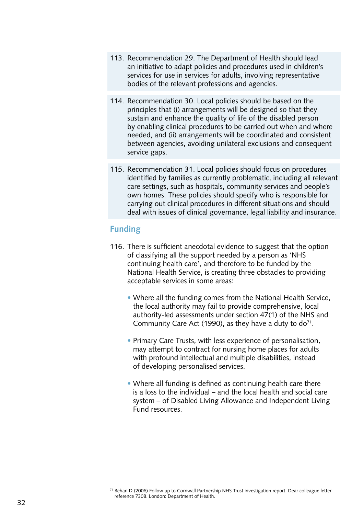- <span id="page-32-0"></span>113. Recommendation 29. The Department of Health should lead an initiative to adapt policies and procedures used in children's services for use in services for adults, involving representative bodies of the relevant professions and agencies.
- 114. Recommendation 30. Local policies should be based on the principles that (i) arrangements will be designed so that they sustain and enhance the quality of life of the disabled person by enabling clinical procedures to be carried out when and where needed, and (ii) arrangements will be coordinated and consistent between agencies, avoiding unilateral exclusions and consequent service gaps.
- 115. Recommendation 31. Local policies should focus on procedures identified by families as currently problematic, including all relevant care settings, such as hospitals, community services and people's own homes. These policies should specify who is responsible for carrying out clinical procedures in different situations and should deal with issues of clinical governance, legal liability and insurance.

#### **Funding**

- 116. There is sufficient anecdotal evidence to suggest that the option of classifying all the support needed by a person as 'NHS continuing health care', and therefore to be funded by the National Health Service, is creating three obstacles to providing acceptable services in some areas:
	- Where all the funding comes from the National Health Service, the local authority may fail to provide comprehensive, local authority-led assessments under section 47(1) of the NHS and Community Care Act (1990), as they have a duty to  $d\sigma^{71}$ .
	- Primary Care Trusts, with less experience of personalisation, may attempt to contract for nursing home places for adults with profound intellectual and multiple disabilities, instead of developing personalised services.
	- Where all funding is defined as continuing health care there is a loss to the individual – and the local health and social care system – of Disabled Living Allowance and Independent Living Fund resources.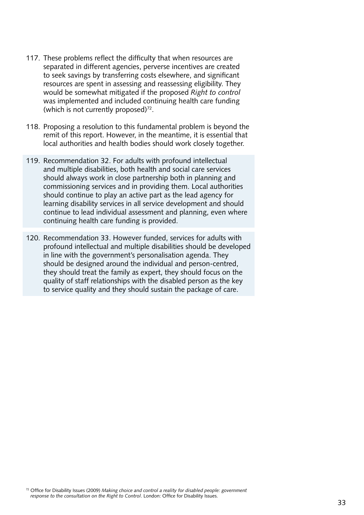- 117. These problems reflect the difficulty that when resources are separated in different agencies, perverse incentives are created to seek savings by transferring costs elsewhere, and significant resources are spent in assessing and reassessing eligibility. They would be somewhat mitigated if the proposed *Right to control* was implemented and included continuing health care funding (which is not currently proposed) $72$ .
- 118. Proposing a resolution to this fundamental problem is beyond the remit of this report. However, in the meantime, it is essential that local authorities and health bodies should work closely together.
- 119. Recommendation 32. For adults with profound intellectual and multiple disabilities, both health and social care services should always work in close partnership both in planning and commissioning services and in providing them. Local authorities should continue to play an active part as the lead agency for learning disability services in all service development and should continue to lead individual assessment and planning, even where continuing health care funding is provided.
- 120. Recommendation 33. However funded, services for adults with profound intellectual and multiple disabilities should be developed in line with the government's personalisation agenda. They should be designed around the individual and person-centred, they should treat the family as expert, they should focus on the quality of staff relationships with the disabled person as the key to service quality and they should sustain the package of care.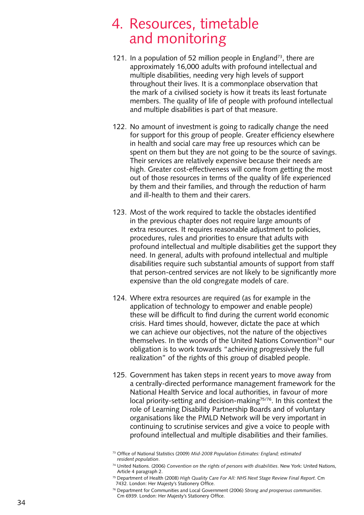## <span id="page-34-0"></span>4. Resources, timetable and monitoring

- 121. In a population of 52 million people in England<sup>73</sup>, there are approximately 16,000 adults with profound intellectual and multiple disabilities, needing very high levels of support throughout their lives. It is a commonplace observation that the mark of a civilised society is how it treats its least fortunate members. The quality of life of people with profound intellectual and multiple disabilities is part of that measure.
- 122. No amount of investment is going to radically change the need for support for this group of people. Greater efficiency elsewhere in health and social care may free up resources which can be spent on them but they are not going to be the source of savings. Their services are relatively expensive because their needs are high. Greater cost-effectiveness will come from getting the most out of those resources in terms of the quality of life experienced by them and their families, and through the reduction of harm and ill-health to them and their carers.
- 123. Most of the work required to tackle the obstacles identified in the previous chapter does not require large amounts of extra resources. It requires reasonable adjustment to policies, procedures, rules and priorities to ensure that adults with profound intellectual and multiple disabilities get the support they need. In general, adults with profound intellectual and multiple disabilities require such substantial amounts of support from staff that person-centred services are not likely to be significantly more expensive than the old congregate models of care.
- 124. Where extra resources are required (as for example in the application of technology to empower and enable people) these will be difficult to find during the current world economic crisis. Hard times should, however, dictate the pace at which we can achieve our objectives, not the nature of the objectives themselves. In the words of the United Nations Convention<sup>74</sup> our obligation is to work towards "achieving progressively the full realization" of the rights of this group of disabled people.
- 125. Government has taken steps in recent years to move away from a centrally-directed performance management framework for the National Health Service and local authorities, in favour of more local priority-setting and decision-making<sup>75/76</sup>. In this context the role of Learning Disability Partnership Boards and of voluntary organisations like the PMLD Network will be very important in continuing to scrutinise services and give a voice to people with profound intellectual and multiple disabilities and their families.

<sup>73</sup> Office of National Statistics (2009) *Mid-2008 Population Estimates: England; estimated resident population* .

<sup>74</sup> United Nations. (2006) *Convention on the rights of persons with disabilities*. New York: United Nations, Article 4 paragraph 2.

<sup>75</sup> Department of Health (2008) *High Quality Care For All: NHS Next Stage Review Final Report*. Cm 7432. London: Her Majesty's Stationery Office.

<sup>76</sup> Department for Communities and Local Government (2006) *Strong and prosperous communities*. Cm 6939. London: Her Majesty's Stationery Office.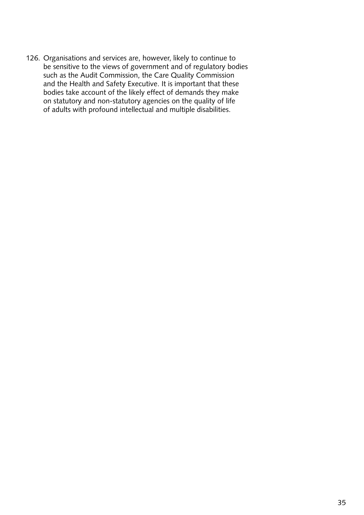126. Organisations and services are, however, likely to continue to be sensitive to the views of government and of regulatory bodies such as the Audit Commission, the Care Quality Commission and the Health and Safety Executive. It is important that these bodies take account of the likely effect of demands they make on statutory and non-statutory agencies on the quality of life of adults with profound intellectual and multiple disabilities.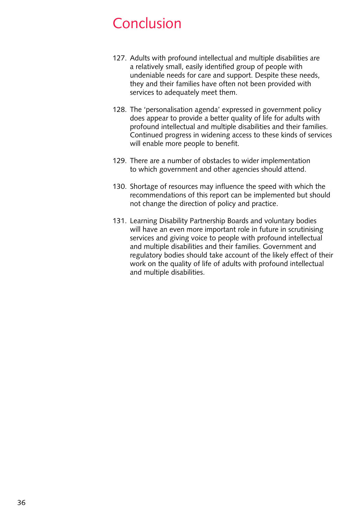## <span id="page-36-0"></span>**Conclusion**

- 127. Adults with profound intellectual and multiple disabilities are a relatively small, easily identified group of people with undeniable needs for care and support. Despite these needs, they and their families have often not been provided with services to adequately meet them.
- 128. The 'personalisation agenda' expressed in government policy does appear to provide a better quality of life for adults with profound intellectual and multiple disabilities and their families. Continued progress in widening access to these kinds of services will enable more people to benefit.
- 129. There are a number of obstacles to wider implementation to which government and other agencies should attend.
- 130. Shortage of resources may influence the speed with which the recommendations of this report can be implemented but should not change the direction of policy and practice.
- 131. Learning Disability Partnership Boards and voluntary bodies will have an even more important role in future in scrutinising services and giving voice to people with profound intellectual and multiple disabilities and their families. Government and regulatory bodies should take account of the likely effect of their work on the quality of life of adults with profound intellectual and multiple disabilities.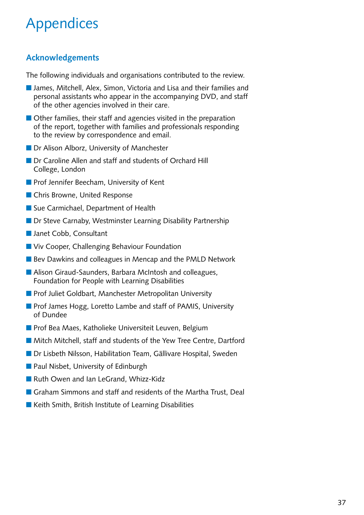# <span id="page-37-0"></span>Appendices

## **Acknowledgements**

The following individuals and organisations contributed to the review.

- James, Mitchell, Alex, Simon, Victoria and Lisa and their families and personal assistants who appear in the accompanying DVD, and staff of the other agencies involved in their care.
- $\blacksquare$  Other families, their staff and agencies visited in the preparation of the report, together with families and professionals responding to the review by correspondence and email.
- Dr Alison Alborz, University of Manchester
- **n** Dr Caroline Allen and staff and students of Orchard Hill College, London
- **n** Prof Jennifer Beecham, University of Kent
- Chris Browne, United Response
- Sue Carmichael, Department of Health
- Dr Steve Carnaby, Westminster Learning Disability Partnership
- Janet Cobb, Consultant
- Viv Cooper, Challenging Behaviour Foundation
- Bev Dawkins and colleagues in Mencap and the PMLD Network
- Alison Giraud-Saunders, Barbara McIntosh and colleagues, Foundation for People with Learning Disabilities
- Prof Juliet Goldbart, Manchester Metropolitan University
- **n** Prof James Hogg, Loretto Lambe and staff of PAMIS, University of Dundee
- Prof Bea Maes, Katholieke Universiteit Leuven, Belgium
- Mitch Mitchell, staff and students of the Yew Tree Centre, Dartford
- Dr Lisbeth Nilsson, Habilitation Team, Gällivare Hospital, Sweden
- Paul Nisbet, University of Edinburgh
- Ruth Owen and Ian LeGrand. Whizz-Kidz
- **n** Graham Simmons and staff and residents of the Martha Trust, Deal
- $\blacksquare$  Keith Smith, British Institute of Learning Disabilities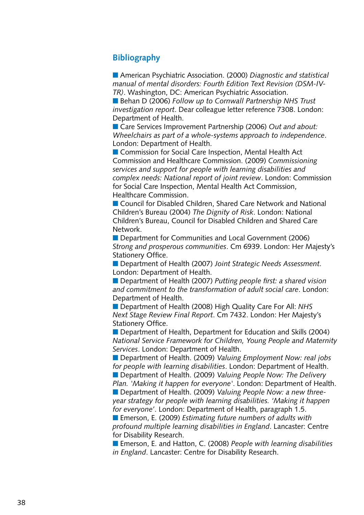## <span id="page-38-0"></span>**Bibliography**

■ American Psychiatric Association. (2000) *Diagnostic and statistical manual of mental disorders: Fourth Edition Text Revision (DSM-IV-TR)*. Washington, DC: American Psychiatric Association.

■ Behan D (2006) *Follow up to Cornwall Partnership NHS Trust investigation report*. Dear colleague letter reference 7308. London: Department of Health.

■ Care Services Improvement Partnership (2006) *Out and about: Wheelchairs as part of a whole-systems approach to independence*. London: Department of Health.

■ Commission for Social Care Inspection, Mental Health Act Commission and Healthcare Commission. (2009) *Commissioning services and support for people with learning disabilities and complex needs: National report of joint review*. London: Commission for Social Care Inspection, Mental Health Act Commission, Healthcare Commission.

■ Council for Disabled Children, Shared Care Network and National Children's Bureau (2004) *The Dignity of Risk*. London: National Children's Bureau, Council for Disabled Children and Shared Care Network.

■ Department for Communities and Local Government (2006) *Strong and prosperous communities*. Cm 6939. London: Her Majesty's Stationery Office.

■ Department of Health (2007) *Joint Strategic Needs Assessment*. London: Department of Health.

■ Department of Health (2007) *Putting people first: a shared vision and commitment to the transformation of adult social care*. London: Department of Health.

■ Department of Health (2008) High Quality Care For All: *NHS Next Stage Review Final Report*. Cm 7432. London: Her Majesty's Stationery Office.

■ Department of Health, Department for Education and Skills (2004) *National Service Framework for Children, Young People and Maternity Services*. London: Department of Health.

■ Department of Health. (2009) *Valuing Employment Now: real jobs for people with learning disabilities*. London: Department of Health. ■ Department of Health. (2009) *Valuing People Now: The Delivery Plan. 'Making it happen for everyone'*. London: Department of Health. ■ Department of Health. (2009) *Valuing People Now: a new three-*

*year strategy for people with learning disabilities. 'Making it happen for everyone'*. London: Department of Health, paragraph 1.5.

■ Emerson, E. (2009) *Estimating future numbers of adults with profound multiple learning disabilities in England*. Lancaster: Centre for Disability Research.

■ Emerson, E. and Hatton, C. (2008) People with learning disabilities *in England*. Lancaster: Centre for Disability Research.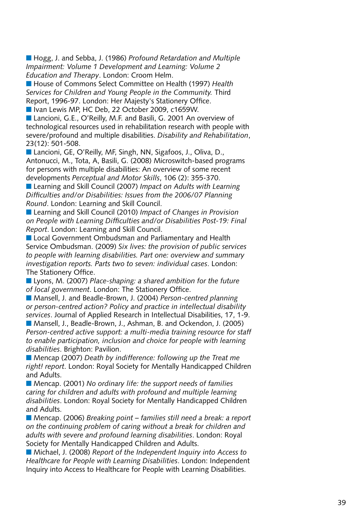■ Hogg, J. and Sebba, J. (1986) *Profound Retardation and Multiple Impairment: Volume 1 Development and Learning: Volume 2 Education and Therapy*. London: Croom Helm.

■ House of Commons Select Committee on Health (1997) *Health Services for Children and Young People in the Community.* Third Report, 1996-97. London: Her Majesty's Stationery Office.

■ Ivan Lewis MP, HC Deb, 22 October 2009, c1659W.

■ Lancioni, G.E., O'Reilly, M.F. and Basili, G. 2001 An overview of technological resources used in rehabilitation research with people with severe/profound and multiple disabilities. *Disability and Rehabilitation*, 23(12): 501-508.

■ Lancioni, GE, O'Reilly, MF, Singh, NN, Sigafoos, J., Oliva, D., Antonucci, M., Tota, A, Basili, G. (2008) Microswitch-based programs for persons with multiple disabilities: An overview of some recent developments *Perceptual and Motor Skills*, 106 (2): 355-370.

■ Learning and Skill Council (2007) *Impact on Adults with Learning Difficulties and/or Disabilities: Issues from the 2006/07 Planning Round*. London: Learning and Skill Council.

■ Learning and Skill Council (2010) *Impact of Changes in Provision on People with Learning Difficulties and/or Disabilities Post-19: Final Report*. London: Learning and Skill Council.

**n** Local Government Ombudsman and Parliamentary and Health Service Ombudsman. (2009) *Six lives: the provision of public services to people with learning disabilities. Part one: overview and summary investigation reports. Parts two to seven: individual cases*. London: The Stationery Office.

n Lyons, M. (2007) *Place-shaping: a shared ambition for the future of local government*. London: The Stationery Office.

■ Mansell, J. and Beadle-Brown, J. (2004) *Person-centred planning or person-centred action? Policy and practice in intellectual disability services*. Journal of Applied Research in Intellectual Disabilities, 17, 1-9.

■ Mansell, J., Beadle-Brown, J., Ashman, B. and Ockendon, J. (2005) *Person-centred active support: a multi-media training resource for staff to enable participation, inclusion and choice for people with learning disabilities*. Brighton: Pavilion.

■ Mencap (2007) *Death by indifference: following up the Treat me right! report*. London: Royal Society for Mentally Handicapped Children and Adults.

■ Mencap. (2001) *No ordinary life: the support needs of families caring for children and adults with profound and multiple learning disabilities*. London: Royal Society for Mentally Handicapped Children and Adults.

■ Mencap. (2006) *Breaking point – families still need a break: a report on the continuing problem of caring without a break for children and adults with severe and profound learning disabilities*. London: Royal Society for Mentally Handicapped Children and Adults.

■ Michael, J. (2008) *Report of the Independent Inquiry into Access to Healthcare for People with Learning Disabilities*. London: Independent Inquiry into Access to Healthcare for People with Learning Disabilities.